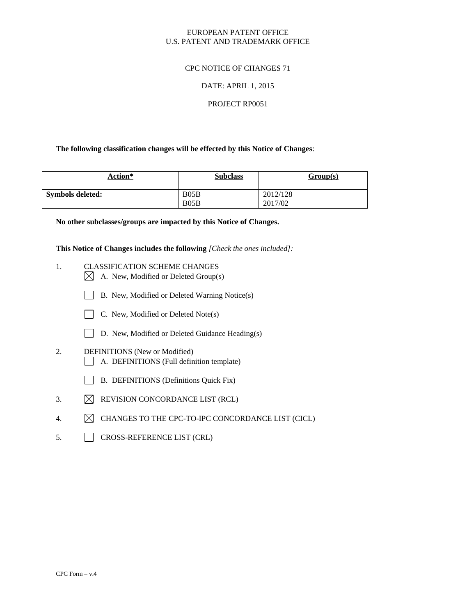### EUROPEAN PATENT OFFICE U.S. PATENT AND TRADEMARK OFFICE

### CPC NOTICE OF CHANGES 71

### DATE: APRIL 1, 2015

#### PROJECT RP0051

### **The following classification changes will be effected by this Notice of Changes**:

| Action*          | <b>Subclass</b> | Group(s) |
|------------------|-----------------|----------|
| Symbols deleted: | B05B            | 2012/128 |
|                  | B05B            | 2017/02  |

**No other subclasses/groups are impacted by this Notice of Changes.**

**This Notice of Changes includes the following** *[Check the ones included]:*

- 1. CLASSIFICATION SCHEME CHANGES  $\boxtimes$  A. New, Modified or Deleted Group(s)
	- B. New, Modified or Deleted Warning Notice(s)
	- $\Box$  C. New, Modified or Deleted Note(s)
	- D. New, Modified or Deleted Guidance Heading(s)
- 2. DEFINITIONS (New or Modified) A. DEFINITIONS (Full definition template)
	- B. DEFINITIONS (Definitions Quick Fix)
- 3.  $\boxtimes$  REVISION CONCORDANCE LIST (RCL)
- 4.  $\boxtimes$  CHANGES TO THE CPC-TO-IPC CONCORDANCE LIST (CICL)
- 5. CROSS-REFERENCE LIST (CRL)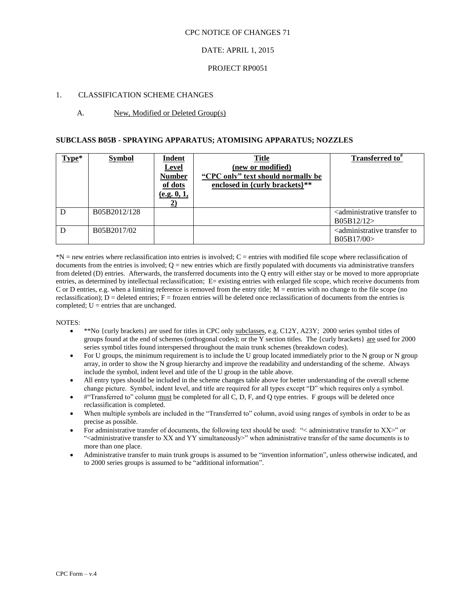#### CPC NOTICE OF CHANGES 71

### DATE: APRIL 1, 2015

#### PROJECT RP0051

### 1. CLASSIFICATION SCHEME CHANGES

### A. New, Modified or Deleted Group(s)

#### **SUBCLASS B05B - SPRAYING APPARATUS; ATOMISING APPARATUS; NOZZLES**

| $Type*$ | <b>Symbol</b> | <b>Indent</b><br><b>Level</b><br><b>Number</b><br>of dots<br>(e.g. 0, 1, | Title<br>(new or modified)<br>"CPC only" text should normally be<br>enclosed in {curly brackets}** | Transferred to <sup>*</sup>                                         |
|---------|---------------|--------------------------------------------------------------------------|----------------------------------------------------------------------------------------------------|---------------------------------------------------------------------|
| D       | B05B2012/128  |                                                                          |                                                                                                    | <administrative to<br="" transfer="">B05B12/12</administrative>     |
| D       | B05B2017/02   |                                                                          |                                                                                                    | <administrative to<br="" transfer="">B05B17/00&gt;</administrative> |

\*N = new entries where reclassification into entries is involved; C = entries with modified file scope where reclassification of documents from the entries is involved;  $Q =$  new entries which are firstly populated with documents via administrative transfers from deleted (D) entries. Afterwards, the transferred documents into the Q entry will either stay or be moved to more appropriate entries, as determined by intellectual reclassification; E= existing entries with enlarged file scope, which receive documents from C or D entries, e.g. when a limiting reference is removed from the entry title;  $M =$  entries with no change to the file scope (no reclassification);  $D =$  deleted entries;  $F =$  frozen entries will be deleted once reclassification of documents from the entries is completed;  $U =$  entries that are unchanged.

#### NOTES:

- \*\*No {curly brackets} are used for titles in CPC only subclasses, e.g. C12Y, A23Y; 2000 series symbol titles of groups found at the end of schemes (orthogonal codes); or the Y section titles. The {curly brackets} are used for 2000 series symbol titles found interspersed throughout the main trunk schemes (breakdown codes).
- For U groups, the minimum requirement is to include the U group located immediately prior to the N group or N group array, in order to show the N group hierarchy and improve the readability and understanding of the scheme. Always include the symbol, indent level and title of the U group in the table above.
- All entry types should be included in the scheme changes table above for better understanding of the overall scheme change picture. Symbol, indent level, and title are required for all types except "D" which requires only a symbol.
- #"Transferred to" column must be completed for all C, D, F, and Q type entries. F groups will be deleted once reclassification is completed.
- When multiple symbols are included in the "Transferred to" column, avoid using ranges of symbols in order to be as precise as possible.
- For administrative transfer of documents, the following text should be used: "< administrative transfer to XX>" or ">secomministrative transfer to XX and YY simultaneously when administrative transfer of the same documents is to more than one place.
- Administrative transfer to main trunk groups is assumed to be "invention information", unless otherwise indicated, and to 2000 series groups is assumed to be "additional information".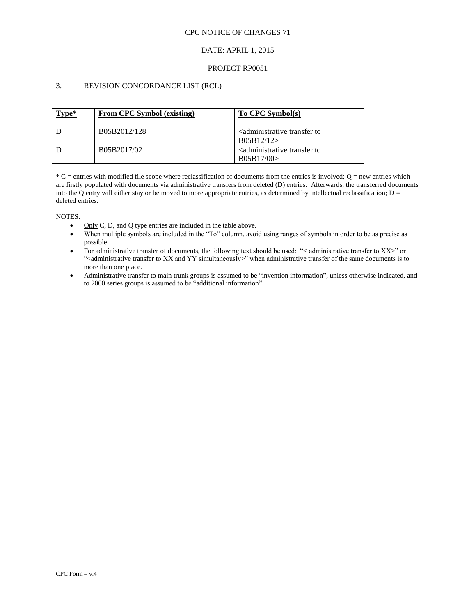### CPC NOTICE OF CHANGES 71

## DATE: APRIL 1, 2015

### PROJECT RP0051

## 3. REVISION CONCORDANCE LIST (RCL)

| Type* | From CPC Symbol (existing) | To CPC Symbol(s)                                                    |
|-------|----------------------------|---------------------------------------------------------------------|
|       | B05B2012/128               | <administrative to<br="" transfer="">B05B12/12</administrative>     |
|       | B05B2017/02                | <administrative to<br="" transfer="">B05B17/00&gt;</administrative> |

 $*C$  = entries with modified file scope where reclassification of documents from the entries is involved; Q = new entries which are firstly populated with documents via administrative transfers from deleted (D) entries. Afterwards, the transferred documents into the Q entry will either stay or be moved to more appropriate entries, as determined by intellectual reclassification;  $D =$ deleted entries.

NOTES:

- $\bullet$  Only C, D, and Q type entries are included in the table above.
- When multiple symbols are included in the "To" column, avoid using ranges of symbols in order to be as precise as possible.
- For administrative transfer of documents, the following text should be used: "< administrative transfer to XX>" or "<administrative transfer to XX and YY simultaneously>" when administrative transfer of the same documents is to more than one place.
- Administrative transfer to main trunk groups is assumed to be "invention information", unless otherwise indicated, and to 2000 series groups is assumed to be "additional information".